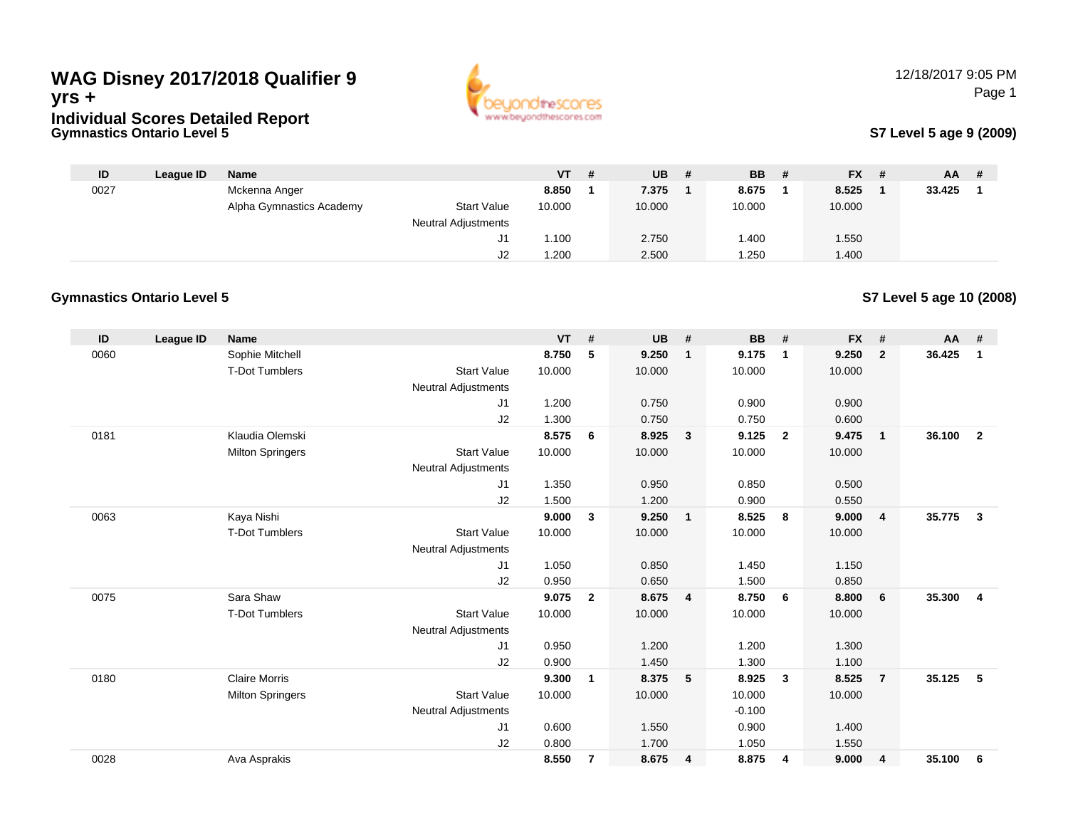## **Gymnastics Ontario Level 5WAG Disney 2017/2018 Qualifier 9yrs +Individual Scores Detailed Report**



#### **S7 Level 5 age 9 (2009)**

| ID   | League ID | Name                     |                            | VT l   | $UB$ # | <b>BB</b> | - # | <b>FX</b> | # | <b>AA</b> |  |
|------|-----------|--------------------------|----------------------------|--------|--------|-----------|-----|-----------|---|-----------|--|
| 0027 |           | Mckenna Anger            |                            | 8.850  | 7.375  | 8.675     |     | 8.525     |   | 33.425    |  |
|      |           | Alpha Gymnastics Academy | <b>Start Value</b>         | 10.000 | 10.000 | 10.000    |     | 10.000    |   |           |  |
|      |           |                          | <b>Neutral Adjustments</b> |        |        |           |     |           |   |           |  |
|      |           |                          | ັບ                         | .100   | 2.750  | 1.400     |     | 1.550     |   |           |  |
|      |           |                          | J2                         | .200   | 2.500  | .250      |     | 1.400     |   |           |  |

#### **Gymnastics Ontario Level 5**

**S7 Level 5 age 10 (2008)**

| ID   | <b>League ID</b> | <b>Name</b>             |                            | <b>VT</b> | #                       | <b>UB</b> | #                       | <b>BB</b> | #                       | <b>FX</b> | #              | AA     | #              |
|------|------------------|-------------------------|----------------------------|-----------|-------------------------|-----------|-------------------------|-----------|-------------------------|-----------|----------------|--------|----------------|
| 0060 |                  | Sophie Mitchell         |                            | 8.750     | 5                       | 9.250     | $\overline{1}$          | 9.175     | $\mathbf{1}$            | 9.250     | $\overline{2}$ | 36.425 | $\mathbf{1}$   |
|      |                  | <b>T-Dot Tumblers</b>   | <b>Start Value</b>         | 10.000    |                         | 10.000    |                         | 10.000    |                         | 10.000    |                |        |                |
|      |                  |                         | Neutral Adjustments        |           |                         |           |                         |           |                         |           |                |        |                |
|      |                  |                         | J1                         | 1.200     |                         | 0.750     |                         | 0.900     |                         | 0.900     |                |        |                |
|      |                  |                         | J2                         | 1.300     |                         | 0.750     |                         | 0.750     |                         | 0.600     |                |        |                |
| 0181 |                  | Klaudia Olemski         |                            | 8.575     | 6                       | 8.925     | $\overline{\mathbf{3}}$ | 9.125     | $\overline{2}$          | 9.475     | $\mathbf{1}$   | 36.100 | $\overline{2}$ |
|      |                  | <b>Milton Springers</b> | <b>Start Value</b>         | 10.000    |                         | 10.000    |                         | 10.000    |                         | 10.000    |                |        |                |
|      |                  |                         | <b>Neutral Adjustments</b> |           |                         |           |                         |           |                         |           |                |        |                |
|      |                  |                         | J1                         | 1.350     |                         | 0.950     |                         | 0.850     |                         | 0.500     |                |        |                |
|      |                  |                         | J2                         | 1.500     |                         | 1.200     |                         | 0.900     |                         | 0.550     |                |        |                |
| 0063 |                  | Kaya Nishi              |                            | 9.000     | 3                       | 9.250     | $\overline{1}$          | 8.525     | - 8                     | 9.000     | $\overline{4}$ | 35.775 | $\mathbf{3}$   |
|      |                  | <b>T-Dot Tumblers</b>   | <b>Start Value</b>         | 10.000    |                         | 10.000    |                         | 10.000    |                         | 10.000    |                |        |                |
|      |                  |                         | <b>Neutral Adjustments</b> |           |                         |           |                         |           |                         |           |                |        |                |
|      |                  |                         | J1                         | 1.050     |                         | 0.850     |                         | 1.450     |                         | 1.150     |                |        |                |
|      |                  |                         | J2                         | 0.950     |                         | 0.650     |                         | 1.500     |                         | 0.850     |                |        |                |
| 0075 |                  | Sara Shaw               |                            | 9.075     | $\overline{2}$          | 8.675     | $\overline{4}$          | 8.750     | 6                       | 8.800     | 6              | 35.300 | $\overline{4}$ |
|      |                  | <b>T-Dot Tumblers</b>   | <b>Start Value</b>         | 10.000    |                         | 10.000    |                         | 10.000    |                         | 10.000    |                |        |                |
|      |                  |                         | <b>Neutral Adjustments</b> |           |                         |           |                         |           |                         |           |                |        |                |
|      |                  |                         | J1                         | 0.950     |                         | 1.200     |                         | 1.200     |                         | 1.300     |                |        |                |
|      |                  |                         | J2                         | 0.900     |                         | 1.450     |                         | 1.300     |                         | 1.100     |                |        |                |
| 0180 |                  | <b>Claire Morris</b>    |                            | 9.300     | 1                       | 8.375     | - 5                     | 8.925     | $\overline{\mathbf{3}}$ | 8.525     | $\overline{7}$ | 35.125 | 5              |
|      |                  | <b>Milton Springers</b> | <b>Start Value</b>         | 10.000    |                         | 10.000    |                         | 10.000    |                         | 10.000    |                |        |                |
|      |                  |                         | <b>Neutral Adjustments</b> |           |                         |           |                         | $-0.100$  |                         |           |                |        |                |
|      |                  |                         | J1                         | 0.600     |                         | 1.550     |                         | 0.900     |                         | 1.400     |                |        |                |
|      |                  |                         | J2                         | 0.800     |                         | 1.700     |                         | 1.050     |                         | 1.550     |                |        |                |
| 0028 |                  | Ava Asprakis            |                            | 8.550     | $\overline{\mathbf{r}}$ | 8.675     | $\overline{4}$          | 8.875     | 4                       | 9.000     | 4              | 35.100 | 6              |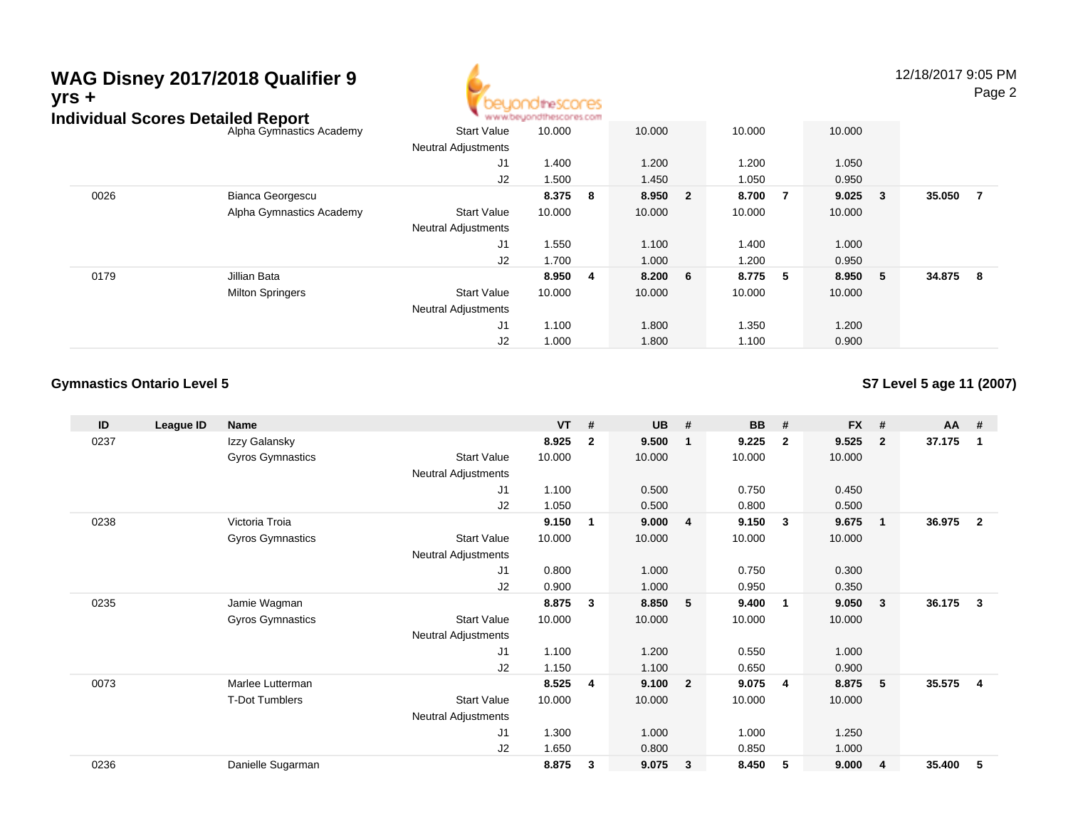# **WAG Disney 2017/2018 Qualifier 9yrs +**



12/18/2017 9:05 PMPage 2

|      | Individual Scores Detailed Report |                            | www.beyondthescores.com |                         |        |                         |         |   |         |        |        |     |
|------|-----------------------------------|----------------------------|-------------------------|-------------------------|--------|-------------------------|---------|---|---------|--------|--------|-----|
|      | Alpha Gymnastics Academy          | <b>Start Value</b>         | 10.000                  |                         | 10.000 |                         | 10.000  |   | 10.000  |        |        |     |
|      |                                   | <b>Neutral Adjustments</b> |                         |                         |        |                         |         |   |         |        |        |     |
|      |                                   | J1                         | 1.400                   |                         | 1.200  |                         | 1.200   |   | 1.050   |        |        |     |
|      |                                   | J2                         | 1.500                   |                         | 1.450  |                         | 1.050   |   | 0.950   |        |        |     |
| 0026 | Bianca Georgescu                  |                            | 8.375                   | - 8                     | 8.950  | $\overline{\mathbf{2}}$ | 8.700   | 7 | 9.025   | $_{3}$ | 35.050 | - 7 |
|      | Alpha Gymnastics Academy          | <b>Start Value</b>         | 10.000                  |                         | 10.000 |                         | 10.000  |   | 10.000  |        |        |     |
|      |                                   | <b>Neutral Adjustments</b> |                         |                         |        |                         |         |   |         |        |        |     |
|      |                                   | J <sub>1</sub>             | 1.550                   |                         | 1.100  |                         | 1.400   |   | 1.000   |        |        |     |
|      |                                   | J2                         | 1.700                   |                         | 1.000  |                         | 1.200   |   | 0.950   |        |        |     |
| 0179 | Jillian Bata                      |                            | 8.950                   | $\overline{\mathbf{4}}$ | 8.200  | 6 <sup>°</sup>          | 8.775 5 |   | 8.950 5 |        | 34.875 | - 8 |
|      | <b>Milton Springers</b>           | <b>Start Value</b>         | 10.000                  |                         | 10.000 |                         | 10.000  |   | 10.000  |        |        |     |
|      |                                   | <b>Neutral Adjustments</b> |                         |                         |        |                         |         |   |         |        |        |     |
|      |                                   | J1                         | 1.100                   |                         | 1.800  |                         | 1.350   |   | 1.200   |        |        |     |
|      |                                   | J2                         | 1.000                   |                         | 1.800  |                         | 1.100   |   | 0.900   |        |        |     |

### **Gymnastics Ontario Level 5**

**S7 Level 5 age 11 (2007)**

| ID   | League ID | <b>Name</b>             |                            | <b>VT</b> | #            | <b>UB</b> | #                       | <b>BB</b> | #              | <b>FX</b> | #              | AA #   |                |
|------|-----------|-------------------------|----------------------------|-----------|--------------|-----------|-------------------------|-----------|----------------|-----------|----------------|--------|----------------|
| 0237 |           | Izzy Galansky           |                            | 8.925     | $\mathbf{2}$ | 9.500     | -1                      | 9.225     | $\overline{2}$ | 9.525     | $\overline{2}$ | 37.175 | 1              |
|      |           | <b>Gyros Gymnastics</b> | <b>Start Value</b>         | 10.000    |              | 10.000    |                         | 10.000    |                | 10.000    |                |        |                |
|      |           |                         | <b>Neutral Adjustments</b> |           |              |           |                         |           |                |           |                |        |                |
|      |           |                         | J <sub>1</sub>             | 1.100     |              | 0.500     |                         | 0.750     |                | 0.450     |                |        |                |
|      |           |                         | J2                         | 1.050     |              | 0.500     |                         | 0.800     |                | 0.500     |                |        |                |
| 0238 |           | Victoria Troia          |                            | 9.150     | 1            | 9.000     | $\overline{4}$          | 9.150     | -3             | 9.675     | $\mathbf{1}$   | 36.975 | $\overline{2}$ |
|      |           | Gyros Gymnastics        | <b>Start Value</b>         | 10.000    |              | 10.000    |                         | 10.000    |                | 10.000    |                |        |                |
|      |           |                         | Neutral Adjustments        |           |              |           |                         |           |                |           |                |        |                |
|      |           |                         | J1                         | 0.800     |              | 1.000     |                         | 0.750     |                | 0.300     |                |        |                |
|      |           |                         | J <sub>2</sub>             | 0.900     |              | 1.000     |                         | 0.950     |                | 0.350     |                |        |                |
| 0235 |           | Jamie Wagman            |                            | 8.875     | 3            | 8.850     | 5                       | 9.400     | -1             | 9.050     | 3              | 36.175 | $\mathbf{3}$   |
|      |           | <b>Gyros Gymnastics</b> | <b>Start Value</b>         | 10.000    |              | 10.000    |                         | 10.000    |                | 10.000    |                |        |                |
|      |           |                         | Neutral Adjustments        |           |              |           |                         |           |                |           |                |        |                |
|      |           |                         | J1                         | 1.100     |              | 1.200     |                         | 0.550     |                | 1.000     |                |        |                |
|      |           |                         | J <sub>2</sub>             | 1.150     |              | 1.100     |                         | 0.650     |                | 0.900     |                |        |                |
| 0073 |           | Marlee Lutterman        |                            | 8.525     | 4            | 9.100     | $\overline{\mathbf{2}}$ | 9.075     | $\overline{4}$ | 8.875     | 5              | 35.575 | $\overline{4}$ |
|      |           | <b>T-Dot Tumblers</b>   | <b>Start Value</b>         | 10.000    |              | 10.000    |                         | 10.000    |                | 10.000    |                |        |                |
|      |           |                         | <b>Neutral Adjustments</b> |           |              |           |                         |           |                |           |                |        |                |
|      |           |                         | J1                         | 1.300     |              | 1.000     |                         | 1.000     |                | 1.250     |                |        |                |
|      |           |                         | J <sub>2</sub>             | 1.650     |              | 0.800     |                         | 0.850     |                | 1.000     |                |        |                |
| 0236 |           | Danielle Sugarman       |                            | 8.875     | 3            | 9.075     | $\mathbf{3}$            | 8.450     | 5              | 9.000     | 4              | 35.400 | 5              |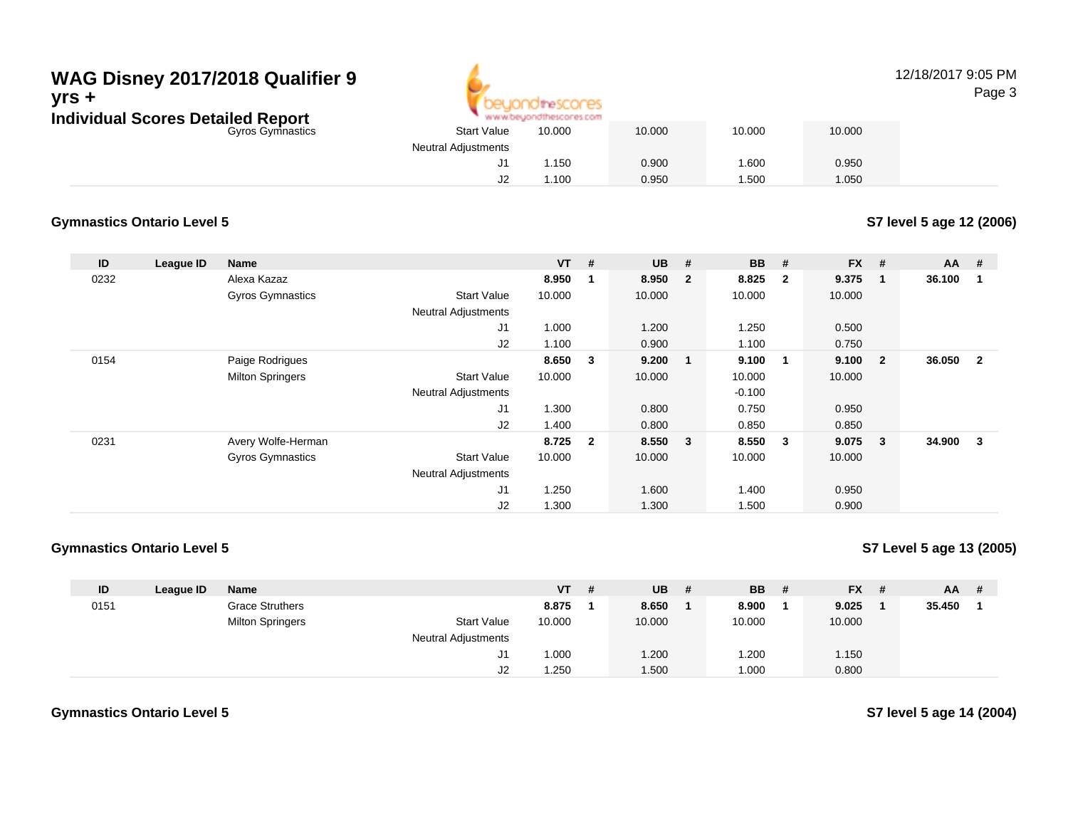## Gyros Gymnastics**WAG Disney 2017/2018 Qualifier 9yrs +Individual Scores Detailed Report**



#### 12/18/2017 9:05 PMPage 3

| <b>Start Value</b><br>10.000<br>10.000<br>10.000<br>10.000<br>ics<br><b>Neutral Adjustments</b><br>0.900<br>.600<br>0.950<br>1.150<br>J1<br>.100<br>0.950<br>.500<br>1.050<br>J2 | www.beyondthescores.com |  |  |
|----------------------------------------------------------------------------------------------------------------------------------------------------------------------------------|-------------------------|--|--|
|                                                                                                                                                                                  |                         |  |  |
|                                                                                                                                                                                  |                         |  |  |
|                                                                                                                                                                                  |                         |  |  |
|                                                                                                                                                                                  |                         |  |  |

#### **Gymnastics Ontario Level 5**

**S7 level 5 age 12 (2006)**

| ID   | League ID | <b>Name</b>             |                            | $VT$ # |                | <b>UB</b> | #              | <b>BB</b> | #                       | <b>FX</b> | #              | $AA$ # |                |
|------|-----------|-------------------------|----------------------------|--------|----------------|-----------|----------------|-----------|-------------------------|-----------|----------------|--------|----------------|
| 0232 |           | Alexa Kazaz             |                            | 8.950  | 1              | 8.950     | $\overline{2}$ | 8.825     | $\overline{\mathbf{2}}$ | 9.375     | -1             | 36.100 | -1             |
|      |           | <b>Gyros Gymnastics</b> | <b>Start Value</b>         | 10.000 |                | 10.000    |                | 10.000    |                         | 10.000    |                |        |                |
|      |           |                         | <b>Neutral Adjustments</b> |        |                |           |                |           |                         |           |                |        |                |
|      |           |                         | J1                         | 1.000  |                | 1.200     |                | 1.250     |                         | 0.500     |                |        |                |
|      |           |                         | J2                         | 1.100  |                | 0.900     |                | 1.100     |                         | 0.750     |                |        |                |
| 0154 |           | Paige Rodrigues         |                            | 8.650  | 3              | 9.200     |                | 9.100     | $\blacksquare$          | 9.100     | $\overline{2}$ | 36.050 | $\overline{2}$ |
|      |           | <b>Milton Springers</b> | <b>Start Value</b>         | 10.000 |                | 10.000    |                | 10.000    |                         | 10.000    |                |        |                |
|      |           |                         | <b>Neutral Adjustments</b> |        |                |           |                | $-0.100$  |                         |           |                |        |                |
|      |           |                         | J <sub>1</sub>             | 1.300  |                | 0.800     |                | 0.750     |                         | 0.950     |                |        |                |
|      |           |                         | J2                         | 1.400  |                | 0.800     |                | 0.850     |                         | 0.850     |                |        |                |
| 0231 |           | Avery Wolfe-Herman      |                            | 8.725  | $\overline{2}$ | 8.550     | $\mathbf{3}$   | 8.550     | $\mathbf{3}$            | 9.075     | 3              | 34.900 | 3              |
|      |           | <b>Gyros Gymnastics</b> | <b>Start Value</b>         | 10.000 |                | 10.000    |                | 10.000    |                         | 10.000    |                |        |                |
|      |           |                         | <b>Neutral Adjustments</b> |        |                |           |                |           |                         |           |                |        |                |
|      |           |                         | J1                         | 1.250  |                | 1.600     |                | 1.400     |                         | 0.950     |                |        |                |
|      |           |                         | J <sub>2</sub>             | 1.300  |                | 1.300     |                | 1.500     |                         | 0.900     |                |        |                |

#### **Gymnastics Ontario Level 5**

**S7 Level 5 age 13 (2005)**

| ID   | League ID | <b>Name</b>             |                            | <b>VT</b> | - # | <b>UB</b> | -# | <b>BB</b> | # | $FX$ # | AA     | - # |
|------|-----------|-------------------------|----------------------------|-----------|-----|-----------|----|-----------|---|--------|--------|-----|
| 0151 |           | <b>Grace Struthers</b>  |                            | 8.875     |     | 8.650     |    | 8.900     |   | 9.025  | 35.450 |     |
|      |           | <b>Milton Springers</b> | <b>Start Value</b>         | 10.000    |     | 10.000    |    | 10.000    |   | 10.000 |        |     |
|      |           |                         | <b>Neutral Adjustments</b> |           |     |           |    |           |   |        |        |     |
|      |           |                         | ັບ                         | .000      |     | 1.200     |    | 1.200     |   | 1.150  |        |     |
|      |           |                         | J2                         | .250      |     | 1.500     |    | 1.000     |   | 0.800  |        |     |

**S7 level 5 age 14 (2004)**